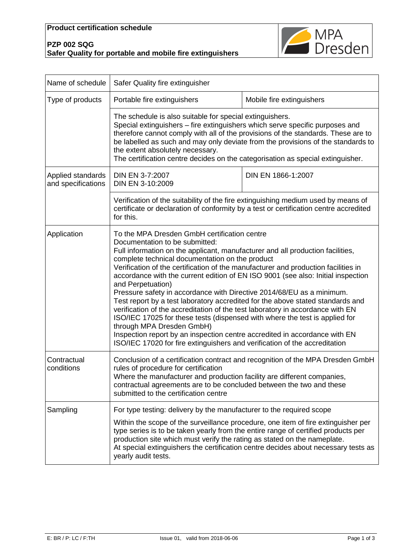## **Product certification schedule**





| Name of schedule                        | Safer Quality fire extinguisher                                                                                                                                                                                                                                                                                                                                                                                                                                                                                                                                                                                                                                                                                                                                                                                                                                                                                                         |                                                                                                                                                                         |  |
|-----------------------------------------|-----------------------------------------------------------------------------------------------------------------------------------------------------------------------------------------------------------------------------------------------------------------------------------------------------------------------------------------------------------------------------------------------------------------------------------------------------------------------------------------------------------------------------------------------------------------------------------------------------------------------------------------------------------------------------------------------------------------------------------------------------------------------------------------------------------------------------------------------------------------------------------------------------------------------------------------|-------------------------------------------------------------------------------------------------------------------------------------------------------------------------|--|
| Type of products                        | Portable fire extinguishers                                                                                                                                                                                                                                                                                                                                                                                                                                                                                                                                                                                                                                                                                                                                                                                                                                                                                                             | Mobile fire extinguishers                                                                                                                                               |  |
|                                         | The schedule is also suitable for special extinguishers.<br>Special extinguishers – fire extinguishers which serve specific purposes and<br>therefore cannot comply with all of the provisions of the standards. These are to<br>be labelled as such and may only deviate from the provisions of the standards to<br>the extent absolutely necessary.<br>The certification centre decides on the categorisation as special extinguisher.                                                                                                                                                                                                                                                                                                                                                                                                                                                                                                |                                                                                                                                                                         |  |
| Applied standards<br>and specifications | DIN EN 3-7:2007<br>DIN EN 3-10:2009                                                                                                                                                                                                                                                                                                                                                                                                                                                                                                                                                                                                                                                                                                                                                                                                                                                                                                     | DIN EN 1866-1:2007                                                                                                                                                      |  |
|                                         | Verification of the suitability of the fire extinguishing medium used by means of<br>certificate or declaration of conformity by a test or certification centre accredited<br>for this.                                                                                                                                                                                                                                                                                                                                                                                                                                                                                                                                                                                                                                                                                                                                                 |                                                                                                                                                                         |  |
| Application                             | To the MPA Dresden GmbH certification centre<br>Documentation to be submitted:<br>Full information on the applicant, manufacturer and all production facilities,<br>complete technical documentation on the product<br>Verification of the certification of the manufacturer and production facilities in<br>accordance with the current edition of EN ISO 9001 (see also: Initial inspection<br>and Perpetuation)<br>Pressure safety in accordance with Directive 2014/68/EU as a minimum.<br>Test report by a test laboratory accredited for the above stated standards and<br>verification of the accreditation of the test laboratory in accordance with EN<br>ISO/IEC 17025 for these tests (dispensed with where the test is applied for<br>through MPA Dresden GmbH)<br>Inspection report by an inspection centre accredited in accordance with EN<br>ISO/IEC 17020 for fire extinguishers and verification of the accreditation |                                                                                                                                                                         |  |
| Contractual<br>conditions               | Conclusion of a certification contract and recognition of the MPA Dresden GmbH<br>rules of procedure for certification<br>Where the manufacturer and production facility are different companies,<br>contractual agreements are to be concluded between the two and these<br>submitted to the certification centre                                                                                                                                                                                                                                                                                                                                                                                                                                                                                                                                                                                                                      |                                                                                                                                                                         |  |
| Sampling                                | For type testing: delivery by the manufacturer to the required scope<br>type series is to be taken yearly from the entire range of certified products per<br>production site which must verify the rating as stated on the nameplate.<br>yearly audit tests.                                                                                                                                                                                                                                                                                                                                                                                                                                                                                                                                                                                                                                                                            | Within the scope of the surveillance procedure, one item of fire extinguisher per<br>At special extinguishers the certification centre decides about necessary tests as |  |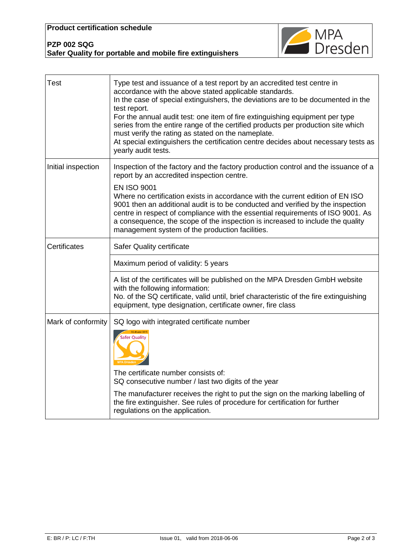

## **PZP 002 SQG Safer Quality for portable and mobile fire extinguishers**

| <b>Test</b>         | Type test and issuance of a test report by an accredited test centre in<br>accordance with the above stated applicable standards.<br>In the case of special extinguishers, the deviations are to be documented in the<br>test report.<br>For the annual audit test: one item of fire extinguishing equipment per type<br>series from the entire range of the certified products per production site which<br>must verify the rating as stated on the nameplate.<br>At special extinguishers the certification centre decides about necessary tests as<br>yearly audit tests. |  |
|---------------------|------------------------------------------------------------------------------------------------------------------------------------------------------------------------------------------------------------------------------------------------------------------------------------------------------------------------------------------------------------------------------------------------------------------------------------------------------------------------------------------------------------------------------------------------------------------------------|--|
| Initial inspection  | Inspection of the factory and the factory production control and the issuance of a<br>report by an accredited inspection centre.<br><b>EN ISO 9001</b><br>Where no certification exists in accordance with the current edition of EN ISO<br>9001 then an additional audit is to be conducted and verified by the inspection<br>centre in respect of compliance with the essential requirements of ISO 9001. As<br>a consequence, the scope of the inspection is increased to include the quality<br>management system of the production facilities.                          |  |
| <b>Certificates</b> | Safer Quality certificate                                                                                                                                                                                                                                                                                                                                                                                                                                                                                                                                                    |  |
|                     | Maximum period of validity: 5 years                                                                                                                                                                                                                                                                                                                                                                                                                                                                                                                                          |  |
|                     | A list of the certificates will be published on the MPA Dresden GmbH website<br>with the following information:<br>No. of the SQ certificate, valid until, brief characteristic of the fire extinguishing<br>equipment, type designation, certificate owner, fire class                                                                                                                                                                                                                                                                                                      |  |
| Mark of conformity  | SQ logo with integrated certificate number<br>Safer Quality<br>The certificate number consists of:<br>SQ consecutive number / last two digits of the year<br>The manufacturer receives the right to put the sign on the marking labelling of<br>the fire extinguisher. See rules of procedure for certification for further<br>regulations on the application.                                                                                                                                                                                                               |  |